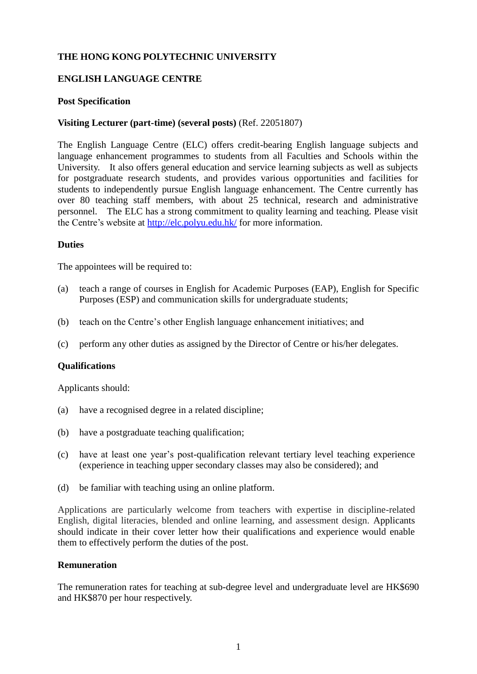## **THE HONG KONG POLYTECHNIC UNIVERSITY**

## **ENGLISH LANGUAGE CENTRE**

### **Post Specification**

### **Visiting Lecturer (part-time) (several posts)** (Ref. 22051807)

The English Language Centre (ELC) offers credit-bearing English language subjects and language enhancement programmes to students from all Faculties and Schools within the University. It also offers general education and service learning subjects as well as subjects for postgraduate research students, and provides various opportunities and facilities for students to independently pursue English language enhancement. The Centre currently has over 80 teaching staff members, with about 25 technical, research and administrative personnel. The ELC has a strong commitment to quality learning and teaching. Please visit the Centre's website at<http://elc.polyu.edu.hk/> for more information.

#### **Duties**

The appointees will be required to:

- (a) teach a range of courses in English for Academic Purposes (EAP), English for Specific Purposes (ESP) and communication skills for undergraduate students;
- (b) teach on the Centre's other English language enhancement initiatives; and
- (c) perform any other duties as assigned by the Director of Centre or his/her delegates.

#### **Qualifications**

Applicants should:

- (a) have a recognised degree in a related discipline;
- (b) have a postgraduate teaching qualification;
- (c) have at least one year's post-qualification relevant tertiary level teaching experience (experience in teaching upper secondary classes may also be considered); and
- (d) be familiar with teaching using an online platform.

Applications are particularly welcome from teachers with expertise in discipline-related English, digital literacies, blended and online learning, and assessment design. Applicants should indicate in their cover letter how their qualifications and experience would enable them to effectively perform the duties of the post.

### **Remuneration**

The remuneration rates for teaching at sub-degree level and undergraduate level are HK\$690 and HK\$870 per hour respectively.